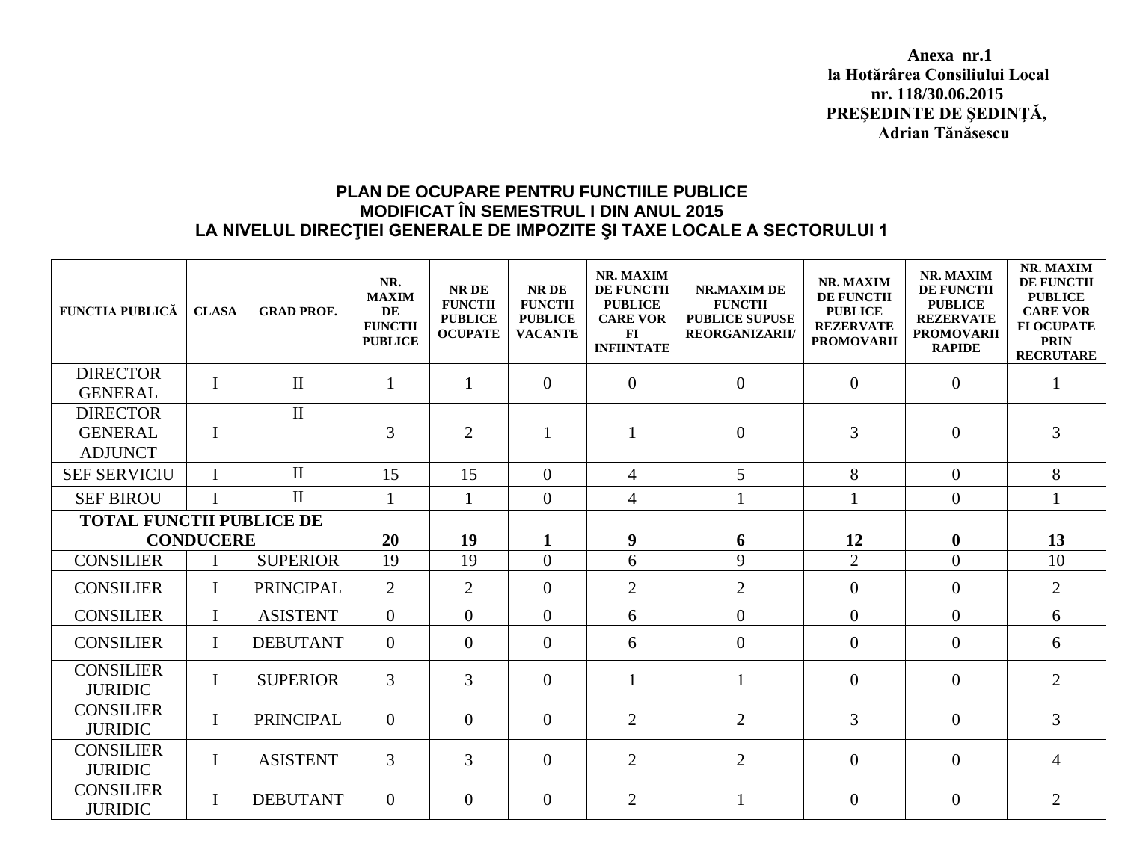**Anexa nr.1 la Hotărârea Consiliului Local nr. 118/30.06.2015 PREŞEDINTE DE ŞEDINŢĂ, Adrian Tănăsescu**

## **PLAN DE OCUPARE PENTRU FUNCTIILE PUBLICE MODIFICAT ÎN SEMESTRUL I DIN ANUL 2015 LA NIVELUL DIRECŢIEI GENERALE DE IMPOZITE ŞI TAXE LOCALE A SECTORULUI 1**

| <b>FUNCTIA PUBLICĂ</b>                              | <b>CLASA</b> | <b>GRAD PROF.</b> | NR.<br><b>MAXIM</b><br>DE<br><b>FUNCTII</b><br><b>PUBLICE</b> | NR DE<br><b>FUNCTII</b><br><b>PUBLICE</b><br><b>OCUPATE</b> | NR DE<br><b>FUNCTII</b><br><b>PUBLICE</b><br><b>VACANTE</b> | NR. MAXIM<br>DE FUNCTII<br><b>PUBLICE</b><br><b>CARE VOR</b><br>$\mathbf{FI}$<br><b>INFIINTATE</b> | NR.MAXIM DE<br><b>FUNCTII</b><br><b>PUBLICE SUPUSE</b><br><b>REORGANIZARII/</b> | <b>NR. MAXIM</b><br>DE FUNCTII<br><b>PUBLICE</b><br><b>REZERVATE</b><br><b>PROMOVARII</b> | NR. MAXIM<br><b>DE FUNCTII</b><br><b>PUBLICE</b><br><b>REZERVATE</b><br><b>PROMOVARII</b><br><b>RAPIDE</b> | NR. MAXIM<br><b>DE FUNCTII</b><br><b>PUBLICE</b><br><b>CARE VOR</b><br><b>FI OCUPATE</b><br><b>PRIN</b><br><b>RECRUTARE</b> |
|-----------------------------------------------------|--------------|-------------------|---------------------------------------------------------------|-------------------------------------------------------------|-------------------------------------------------------------|----------------------------------------------------------------------------------------------------|---------------------------------------------------------------------------------|-------------------------------------------------------------------------------------------|------------------------------------------------------------------------------------------------------------|-----------------------------------------------------------------------------------------------------------------------------|
| <b>DIRECTOR</b><br><b>GENERAL</b>                   | $\bf{I}$     | $\rm II$          | $\mathbf{1}$                                                  | $\mathbf{1}$                                                | $\overline{0}$                                              | $\overline{0}$                                                                                     | $\overline{0}$                                                                  | $\overline{0}$                                                                            | $\mathbf{0}$                                                                                               |                                                                                                                             |
| <b>DIRECTOR</b><br><b>GENERAL</b><br><b>ADJUNCT</b> | $\mathbf I$  | $\rm II$          | 3                                                             | 2                                                           | $\mathbf{1}$                                                |                                                                                                    | $\overline{0}$                                                                  | 3                                                                                         | $\mathbf{0}$                                                                                               | 3                                                                                                                           |
| <b>SEF SERVICIU</b>                                 | $\mathbf I$  | $\mathbf{I}$      | 15                                                            | 15                                                          | $\overline{0}$                                              | $\overline{4}$                                                                                     | $5\overline{)}$                                                                 | 8                                                                                         | $\overline{0}$                                                                                             | 8                                                                                                                           |
| <b>SEF BIROU</b>                                    | T            | $\mathbf{I}$      | $\mathbf{1}$                                                  | $\mathbf{1}$                                                | $\overline{0}$                                              | $\overline{4}$                                                                                     |                                                                                 |                                                                                           | $\overline{0}$                                                                                             | $\mathbf{1}$                                                                                                                |
| <b>TOTAL FUNCTII PUBLICE DE</b>                     |              |                   |                                                               |                                                             |                                                             |                                                                                                    |                                                                                 |                                                                                           |                                                                                                            |                                                                                                                             |
| <b>CONDUCERE</b>                                    |              |                   | 20                                                            | 19                                                          | $\mathbf{1}$                                                | $\boldsymbol{9}$                                                                                   | 6                                                                               | 12                                                                                        | $\bf{0}$                                                                                                   | 13                                                                                                                          |
| <b>CONSILIER</b>                                    |              | <b>SUPERIOR</b>   | 19                                                            | 19                                                          | $\theta$                                                    | 6                                                                                                  | 9                                                                               | $\overline{2}$                                                                            | $\overline{0}$                                                                                             | 10                                                                                                                          |
| <b>CONSILIER</b>                                    | $\mathbf{I}$ | <b>PRINCIPAL</b>  | $\overline{2}$                                                | 2                                                           | $\overline{0}$                                              | $\overline{2}$                                                                                     | $\overline{2}$                                                                  | $\overline{0}$                                                                            | $\overline{0}$                                                                                             | $\overline{2}$                                                                                                              |
| <b>CONSILIER</b>                                    | I            | <b>ASISTENT</b>   | $\overline{0}$                                                | $\theta$                                                    | $\theta$                                                    | 6                                                                                                  | $\overline{0}$                                                                  | $\overline{0}$                                                                            | $\overline{0}$                                                                                             | 6                                                                                                                           |
| <b>CONSILIER</b>                                    | $\mathbf{I}$ | <b>DEBUTANT</b>   | $\overline{0}$                                                | $\theta$                                                    | $\theta$                                                    | 6                                                                                                  | $\overline{0}$                                                                  | $\Omega$                                                                                  | $\overline{0}$                                                                                             | 6                                                                                                                           |
| <b>CONSILIER</b><br><b>JURIDIC</b>                  | $\mathbf{I}$ | <b>SUPERIOR</b>   | $\overline{3}$                                                | 3                                                           | $\theta$                                                    | $\mathbf{1}$                                                                                       |                                                                                 | $\overline{0}$                                                                            | $\overline{0}$                                                                                             | $\overline{2}$                                                                                                              |
| <b>CONSILIER</b><br><b>JURIDIC</b>                  | $\mathbf I$  | <b>PRINCIPAL</b>  | $\overline{0}$                                                | $\overline{0}$                                              | $\overline{0}$                                              | $\overline{2}$                                                                                     | $\overline{2}$                                                                  | 3                                                                                         | $\overline{0}$                                                                                             | 3                                                                                                                           |
| <b>CONSILIER</b><br><b>JURIDIC</b>                  | $\bf{I}$     | <b>ASISTENT</b>   | 3                                                             | 3                                                           | $\theta$                                                    | 2                                                                                                  | 2                                                                               | $\Omega$                                                                                  | $\overline{0}$                                                                                             | $\overline{4}$                                                                                                              |
| <b>CONSILIER</b><br><b>JURIDIC</b>                  | $\mathbf I$  | <b>DEBUTANT</b>   | $\overline{0}$                                                | $\overline{0}$                                              | $\overline{0}$                                              | $\overline{2}$                                                                                     |                                                                                 | $\overline{0}$                                                                            | $\overline{0}$                                                                                             | $\overline{2}$                                                                                                              |